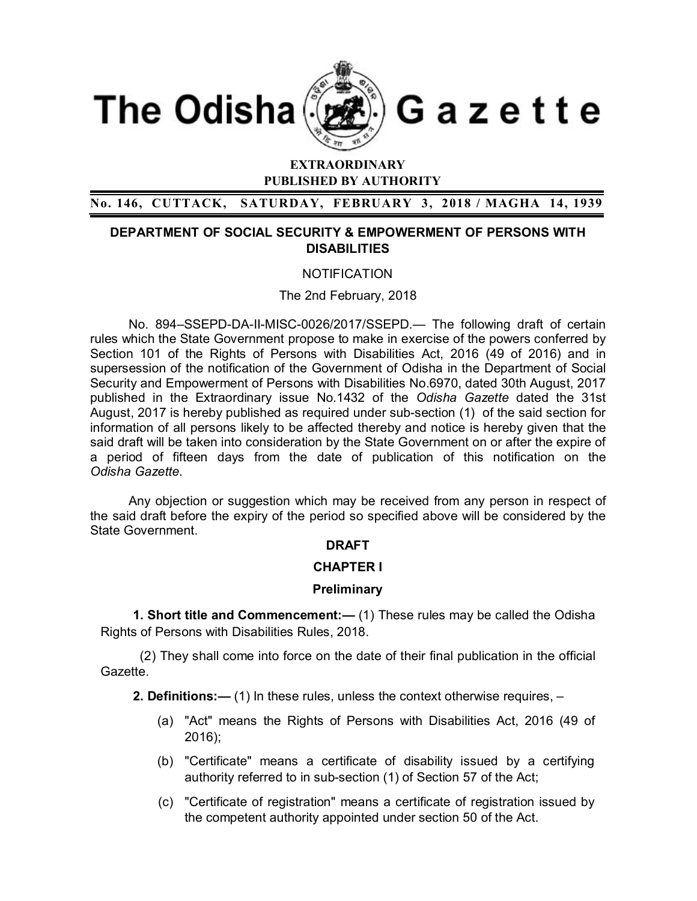

# **EXTRAORDINARY PUBLISHED BY AUTHORITY**

**No. 146, CUTTACK, SATURDAY, FEBRUARY 3, 2018 / MAGHA 14, 1939**

## **DEPARTMENT OF SOCIAL SECURITY & EMPOWERMENT OF PERSONS WITH DISABILITIES**

## **NOTIFICATION**

The 2nd February, 2018

No. 894–SSEPD-DA-II-MISC-0026/2017/SSEPD.— The following draft of certain rules which the State Government propose to make in exercise of the powers conferred by Section 101 of the Rights of Persons with Disabilities Act, 2016 (49 of 2016) and in supersession of the notification of the Government of Odisha in the Department of Social Security and Empowerment of Persons with Disabilities No.6970, dated 30th August, 2017 published in the Extraordinary issue No.1432 of the *Odisha Gazette* dated the 31st August, 2017 is hereby published as required under sub-section (1) of the said section for information of all persons likely to be affected thereby and notice is hereby given that the said draft will be taken into consideration by the State Government on or after the expire of a period of fifteen days from the date of publication of this notification on the *Odisha Gazette*.

Any objection or suggestion which may be received from any person in respect of the said draft before the expiry of the period so specified above will be considered by the State Government.

## **DRAFT**

## **CHAPTER I**

## **Preliminary**

 **1. Short title and Commencement:—** (1) These rules may be called the Odisha Rights of Persons with Disabilities Rules, 2018.

 (2) They shall come into force on the date of their final publication in the official Gazette.

 **2. Definitions:—** (1) In these rules, unless the context otherwise requires, –

- (a) "Act" means the Rights of Persons with Disabilities Act, 2016 (49 of 2016);
- (b) "Certificate" means a certificate of disability issued by a certifying authority referred to in sub-section (1) of Section 57 of the Act;
- (c) "Certificate of registration" means a certificate of registration issued by the competent authority appointed under section 50 of the Act.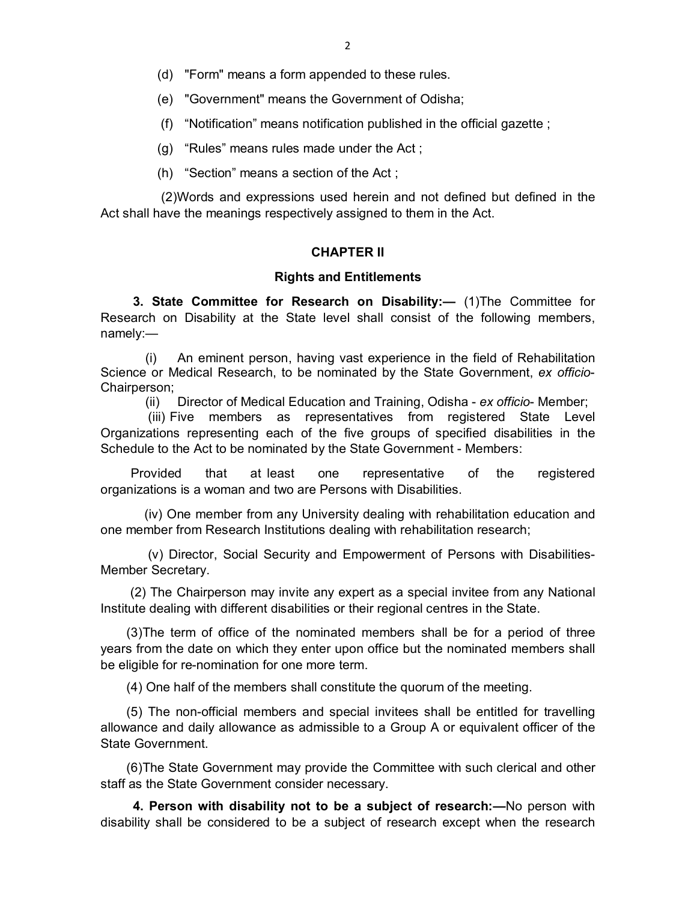- (d) "Form" means a form appended to these rules.
- (e) "Government" means the Government of Odisha;
- (f) "Notification" means notification published in the official gazette ;
- (g) "Rules" means rules made under the Act ;
- (h) "Section" means a section of the Act ;

(2)Words and expressions used herein and not defined but defined in the Act shall have the meanings respectively assigned to them in the Act.

## **CHAPTER II**

### **Rights and Entitlements**

 **3. State Committee for Research on Disability:—** (1)The Committee for Research on Disability at the State level shall consist of the following members, namely:—

(i) An eminent person, having vast experience in the field of Rehabilitation Science or Medical Research, to be nominated by the State Government, *ex officio*-Chairperson;

(ii) Director of Medical Education and Training, Odisha - *ex officio*- Member;

 (iii) Five members as representatives from registered State Level Organizations representing each of the five groups of specified disabilities in the Schedule to the Act to be nominated by the State Government - Members:

Provided that at least one representative of the registered organizations is a woman and two are Persons with Disabilities.

 (iv) One member from any University dealing with rehabilitation education and one member from Research Institutions dealing with rehabilitation research;

 (v) Director, Social Security and Empowerment of Persons with Disabilities-Member Secretary.

 (2) The Chairperson may invite any expert as a special invitee from any National Institute dealing with different disabilities or their regional centres in the State.

 (3)The term of office of the nominated members shall be for a period of three years from the date on which they enter upon office but the nominated members shall be eligible for re-nomination for one more term.

(4) One half of the members shall constitute the quorum of the meeting.

 (5) The non-official members and special invitees shall be entitled for travelling allowance and daily allowance as admissible to a Group A or equivalent officer of the State Government.

 (6)The State Government may provide the Committee with such clerical and other staff as the State Government consider necessary.

 **4. Person with disability not to be a subject of research:—**No person with disability shall be considered to be a subject of research except when the research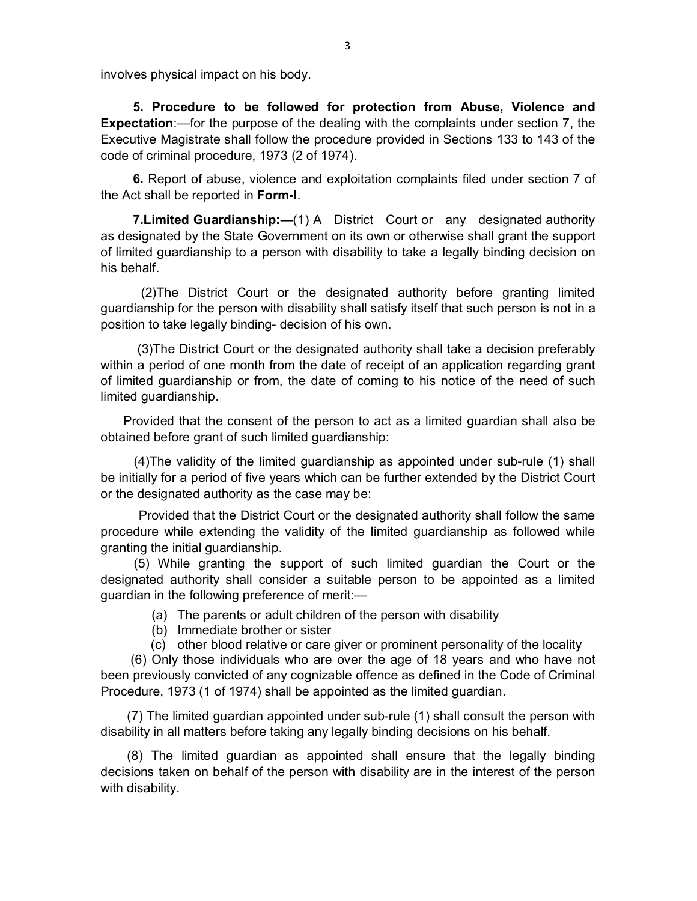involves physical impact on his body.

 **5. Procedure to be followed for protection from Abuse, Violence and Expectation**:—for the purpose of the dealing with the complaints under section 7, the Executive Magistrate shall follow the procedure provided in Sections 133 to 143 of the code of criminal procedure, 1973 (2 of 1974).

 **6.** Report of abuse, violence and exploitation complaints filed under section 7 of the Act shall be reported in **Form-I**.

**7. Limited Guardianship:**  $-(1)$  A District Court or any designated authority as designated by the State Government on its own or otherwise shall grant the support of limited guardianship to a person with disability to take a legally binding decision on his behalf.

 (2)The District Court or the designated authority before granting limited guardianship for the person with disability shall satisfy itself that such person is not in a position to take legally binding- decision of his own.

 (3)The District Court or the designated authority shall take a decision preferably within a period of one month from the date of receipt of an application regarding grant of limited guardianship or from, the date of coming to his notice of the need of such limited guardianship.

Provided that the consent of the person to act as a limited guardian shall also be obtained before grant of such limited guardianship:

 (4)The validity of the limited guardianship as appointed under sub-rule (1) shall be initially for a period of five years which can be further extended by the District Court or the designated authority as the case may be:

Provided that the District Court or the designated authority shall follow the same procedure while extending the validity of the limited guardianship as followed while granting the initial guardianship.

 (5) While granting the support of such limited guardian the Court or the designated authority shall consider a suitable person to be appointed as a limited guardian in the following preference of merit:—

- (a) The parents or adult children of the person with disability
- (b) Immediate brother or sister
- (c) other blood relative or care giver or prominent personality of the locality

 (6) Only those individuals who are over the age of 18 years and who have not been previously convicted of any cognizable offence as defined in the Code of Criminal Procedure, 1973 (1 of 1974) shall be appointed as the limited guardian.

(7) The limited guardian appointed under sub-rule (1) shall consult the person with disability in all matters before taking any legally binding decisions on his behalf.

(8) The limited guardian as appointed shall ensure that the legally binding decisions taken on behalf of the person with disability are in the interest of the person with disability.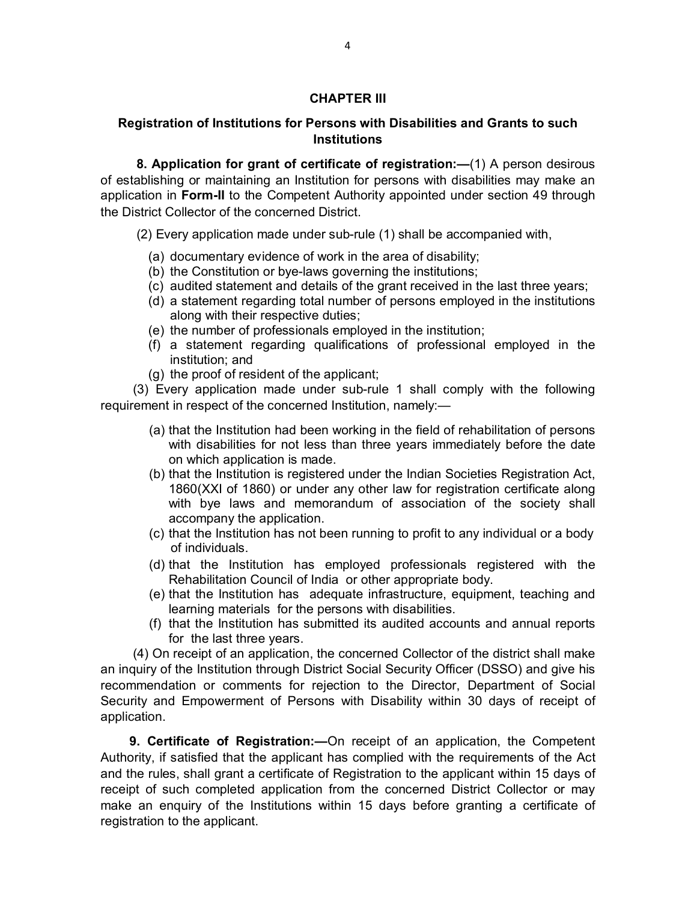## **CHAPTER III**

## **Registration of Institutions for Persons with Disabilities and Grants to such Institutions**

 **8. Application for grant of certificate of registration:—**(1) A person desirous of establishing or maintaining an Institution for persons with disabilities may make an application in **Form-II** to the Competent Authority appointed under section 49 through the District Collector of the concerned District.

(2) Every application made under sub-rule (1) shall be accompanied with,

- (a) documentary evidence of work in the area of disability;
- (b) the Constitution or bye-laws governing the institutions;
- (c) audited statement and details of the grant received in the last three years;
- (d) a statement regarding total number of persons employed in the institutions along with their respective duties;
- (e) the number of professionals employed in the institution;
- (f) a statement regarding qualifications of professional employed in the institution; and
- (g) the proof of resident of the applicant;

 (3) Every application made under sub-rule 1 shall comply with the following requirement in respect of the concerned Institution, namely:—

- (a) that the Institution had been working in the field of rehabilitation of persons with disabilities for not less than three years immediately before the date on which application is made.
- (b) that the Institution is registered under the Indian Societies Registration Act, 1860(XXI of 1860) or under any other law for registration certificate along with bye laws and memorandum of association of the society shall accompany the application.
- (c) that the Institution has not been running to profit to any individual or a body of individuals.
- (d) that the Institution has employed professionals registered with the Rehabilitation Council of India or other appropriate body.
- (e) that the Institution has adequate infrastructure, equipment, teaching and learning materials for the persons with disabilities.
- (f) that the Institution has submitted its audited accounts and annual reports for the last three years.

 (4) On receipt of an application, the concerned Collector of the district shall make an inquiry of the Institution through District Social Security Officer (DSSO) and give his recommendation or comments for rejection to the Director, Department of Social Security and Empowerment of Persons with Disability within 30 days of receipt of application.

 **9. Certificate of Registration:—**On receipt of an application, the Competent Authority, if satisfied that the applicant has complied with the requirements of the Act and the rules, shall grant a certificate of Registration to the applicant within 15 days of receipt of such completed application from the concerned District Collector or may make an enquiry of the Institutions within 15 days before granting a certificate of registration to the applicant.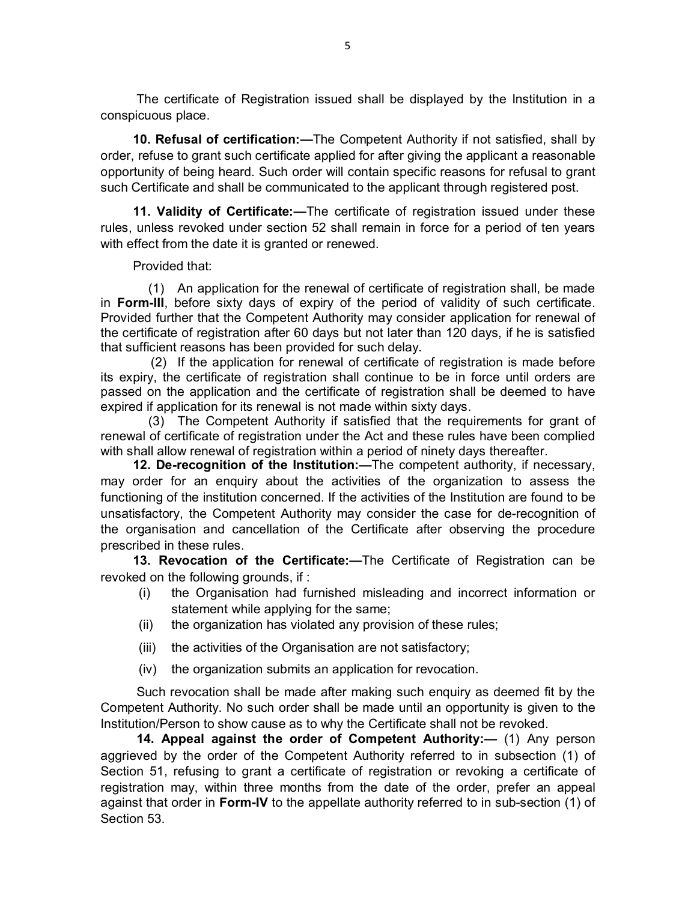The certificate of Registration issued shall be displayed by the Institution in a conspicuous place.

 **10. Refusal of certification:—**The Competent Authority if not satisfied, shall by order, refuse to grant such certificate applied for after giving the applicant a reasonable opportunity of being heard. Such order will contain specific reasons for refusal to grant such Certificate and shall be communicated to the applicant through registered post.

 **11. Validity of Certificate:—**The certificate of registration issued under these rules, unless revoked under section 52 shall remain in force for a period of ten years with effect from the date it is granted or renewed.

Provided that:

(1) An application for the renewal of certificate of registration shall, be made in **Form-III**, before sixty days of expiry of the period of validity of such certificate. Provided further that the Competent Authority may consider application for renewal of the certificate of registration after 60 days but not later than 120 days, if he is satisfied that sufficient reasons has been provided for such delay.

(2) If the application for renewal of certificate of registration is made before its expiry, the certificate of registration shall continue to be in force until orders are passed on the application and the certificate of registration shall be deemed to have expired if application for its renewal is not made within sixty days.

(3) The Competent Authority if satisfied that the requirements for grant of renewal of certificate of registration under the Act and these rules have been complied with shall allow renewal of registration within a period of ninety days thereafter.

 **12. De-recognition of the Institution:—**The competent authority, if necessary, may order for an enquiry about the activities of the organization to assess the functioning of the institution concerned. If the activities of the Institution are found to be unsatisfactory, the Competent Authority may consider the case for de-recognition of the organisation and cancellation of the Certificate after observing the procedure prescribed in these rules.

 **13. Revocation of the Certificate:—**The Certificate of Registration can be revoked on the following grounds, if :

- (i) the Organisation had furnished misleading and incorrect information or statement while applying for the same;
- (ii) the organization has violated any provision of these rules;
- (iii) the activities of the Organisation are not satisfactory;
- (iv) the organization submits an application for revocation.

 Such revocation shall be made after making such enquiry as deemed fit by the Competent Authority. No such order shall be made until an opportunity is given to the Institution/Person to show cause as to why the Certificate shall not be revoked.

 **14. Appeal against the order of Competent Authority:—** (1) Any person aggrieved by the order of the Competent Authority referred to in subsection (1) of Section 51, refusing to grant a certificate of registration or revoking a certificate of registration may, within three months from the date of the order, prefer an appeal against that order in **Form-IV** to the appellate authority referred to in sub-section (1) of Section 53.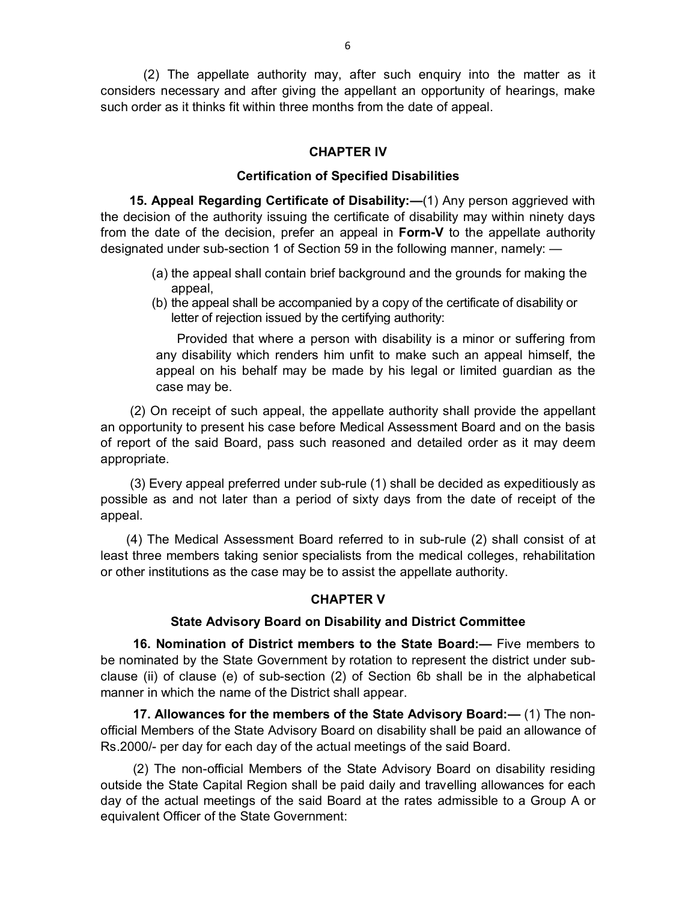(2) The appellate authority may, after such enquiry into the matter as it considers necessary and after giving the appellant an opportunity of hearings, make such order as it thinks fit within three months from the date of appeal.

## **CHAPTER IV**

## **Certification of Specified Disabilities**

 **15. Appeal Regarding Certificate of Disability:—**(1) Any person aggrieved with the decision of the authority issuing the certificate of disability may within ninety days from the date of the decision, prefer an appeal in **Form-V** to the appellate authority designated under sub-section 1 of Section 59 in the following manner, namely: —

- (a) the appeal shall contain brief background and the grounds for making the appeal,
- (b) the appeal shall be accompanied by a copy of the certificate of disability or letter of rejection issued by the certifying authority:

Provided that where a person with disability is a minor or suffering from any disability which renders him unfit to make such an appeal himself, the appeal on his behalf may be made by his legal or limited guardian as the case may be.

 (2) On receipt of such appeal, the appellate authority shall provide the appellant an opportunity to present his case before Medical Assessment Board and on the basis of report of the said Board, pass such reasoned and detailed order as it may deem appropriate.

 (3) Every appeal preferred under sub-rule (1) shall be decided as expeditiously as possible as and not later than a period of sixty days from the date of receipt of the appeal.

 (4) The Medical Assessment Board referred to in sub-rule (2) shall consist of at least three members taking senior specialists from the medical colleges, rehabilitation or other institutions as the case may be to assist the appellate authority.

## **CHAPTER V**

## **State Advisory Board on Disability and District Committee**

 **16. Nomination of District members to the State Board:—** Five members to be nominated by the State Government by rotation to represent the district under subclause (ii) of clause (e) of sub-section (2) of Section 6b shall be in the alphabetical manner in which the name of the District shall appear.

 **17. Allowances for the members of the State Advisory Board:—** (1) The nonofficial Members of the State Advisory Board on disability shall be paid an allowance of Rs.2000/- per day for each day of the actual meetings of the said Board.

 (2) The non-official Members of the State Advisory Board on disability residing outside the State Capital Region shall be paid daily and travelling allowances for each day of the actual meetings of the said Board at the rates admissible to a Group A or equivalent Officer of the State Government: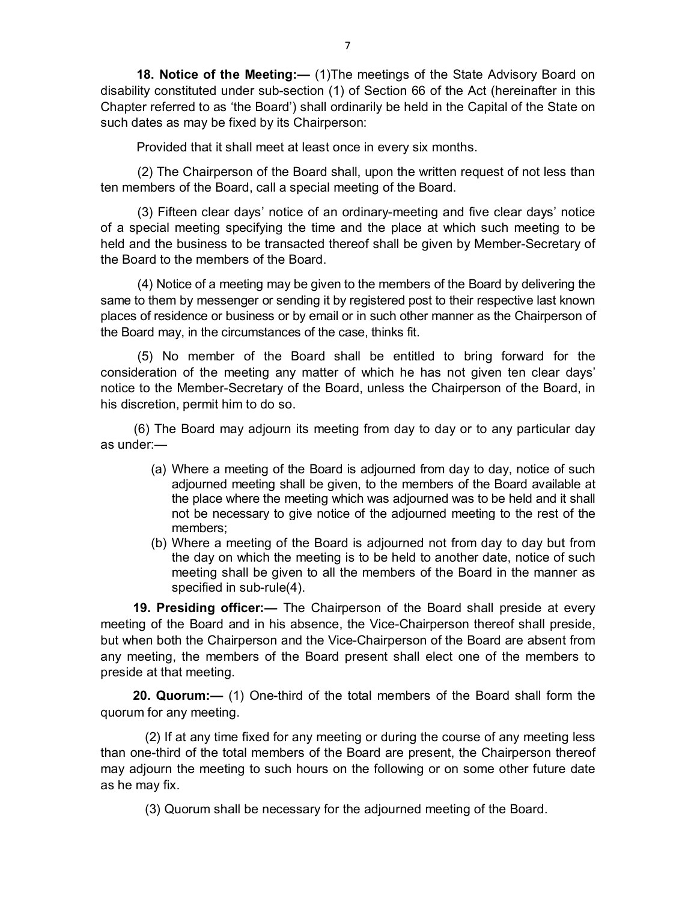**18. Notice of the Meeting:—** (1)The meetings of the State Advisory Board on disability constituted under sub-section (1) of Section 66 of the Act (hereinafter in this Chapter referred to as 'the Board') shall ordinarily be held in the Capital of the State on such dates as may be fixed by its Chairperson:

Provided that it shall meet at least once in every six months.

 (2) The Chairperson of the Board shall, upon the written request of not less than ten members of the Board, call a special meeting of the Board.

 (3) Fifteen clear days' notice of an ordinary-meeting and five clear days' notice of a special meeting specifying the time and the place at which such meeting to be held and the business to be transacted thereof shall be given by Member-Secretary of the Board to the members of the Board.

 (4) Notice of a meeting may be given to the members of the Board by delivering the same to them by messenger or sending it by registered post to their respective last known places of residence or business or by email or in such other manner as the Chairperson of the Board may, in the circumstances of the case, thinks fit.

 (5) No member of the Board shall be entitled to bring forward for the consideration of the meeting any matter of which he has not given ten clear days' notice to the Member-Secretary of the Board, unless the Chairperson of the Board, in his discretion, permit him to do so.

 (6) The Board may adjourn its meeting from day to day or to any particular day as under:—

- (a) Where a meeting of the Board is adjourned from day to day, notice of such adjourned meeting shall be given, to the members of the Board available at the place where the meeting which was adjourned was to be held and it shall not be necessary to give notice of the adjourned meeting to the rest of the members;
- (b) Where a meeting of the Board is adjourned not from day to day but from the day on which the meeting is to be held to another date, notice of such meeting shall be given to all the members of the Board in the manner as specified in sub-rule(4).

 **19. Presiding officer:—** The Chairperson of the Board shall preside at every meeting of the Board and in his absence, the Vice-Chairperson thereof shall preside, but when both the Chairperson and the Vice-Chairperson of the Board are absent from any meeting, the members of the Board present shall elect one of the members to preside at that meeting.

 **20. Quorum:—** (1) One-third of the total members of the Board shall form the quorum for any meeting.

 (2) If at any time fixed for any meeting or during the course of any meeting less than one-third of the total members of the Board are present, the Chairperson thereof may adjourn the meeting to such hours on the following or on some other future date as he may fix.

(3) Quorum shall be necessary for the adjourned meeting of the Board.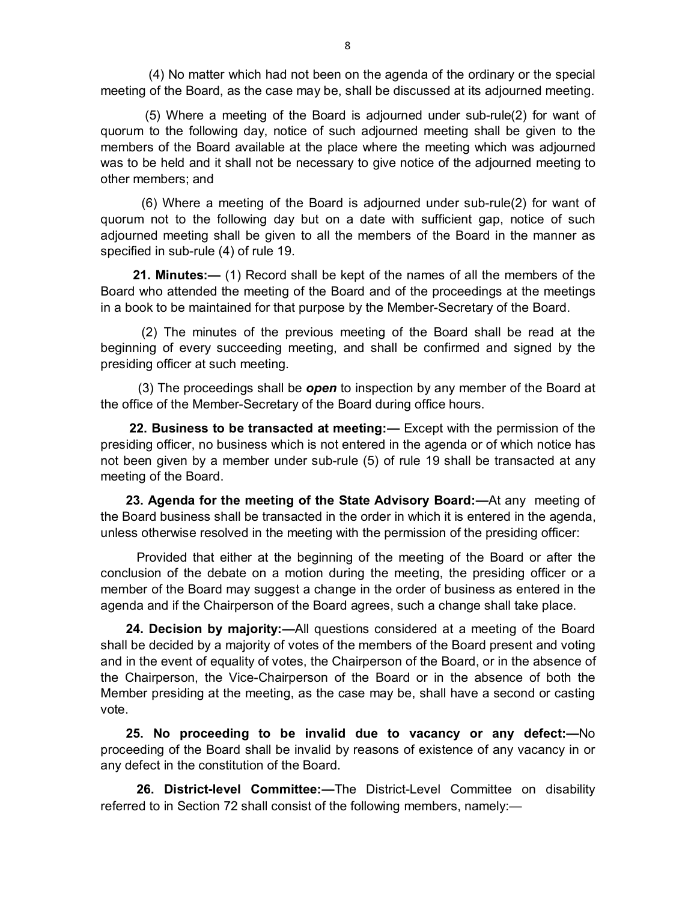(4) No matter which had not been on the agenda of the ordinary or the special meeting of the Board, as the case may be, shall be discussed at its adjourned meeting.

 (5) Where a meeting of the Board is adjourned under sub-rule(2) for want of quorum to the following day, notice of such adjourned meeting shall be given to the members of the Board available at the place where the meeting which was adjourned was to be held and it shall not be necessary to give notice of the adjourned meeting to other members; and

 (6) Where a meeting of the Board is adjourned under sub-rule(2) for want of quorum not to the following day but on a date with sufficient gap, notice of such adjourned meeting shall be given to all the members of the Board in the manner as specified in sub-rule (4) of rule 19.

 **21. Minutes:—** (1) Record shall be kept of the names of all the members of the Board who attended the meeting of the Board and of the proceedings at the meetings in a book to be maintained for that purpose by the Member-Secretary of the Board.

 (2) The minutes of the previous meeting of the Board shall be read at the beginning of every succeeding meeting, and shall be confirmed and signed by the presiding officer at such meeting.

 (3) The proceedings shall be *open* to inspection by any member of the Board at the office of the Member-Secretary of the Board during office hours.

 **22. Business to be transacted at meeting:—** Except with the permission of the presiding officer, no business which is not entered in the agenda or of which notice has not been given by a member under sub-rule (5) of rule 19 shall be transacted at any meeting of the Board.

 **23. Agenda for the meeting of the State Advisory Board:—**At any meeting of the Board business shall be transacted in the order in which it is entered in the agenda, unless otherwise resolved in the meeting with the permission of the presiding officer:

 Provided that either at the beginning of the meeting of the Board or after the conclusion of the debate on a motion during the meeting, the presiding officer or a member of the Board may suggest a change in the order of business as entered in the agenda and if the Chairperson of the Board agrees, such a change shall take place.

 **24. Decision by majority:—**All questions considered at a meeting of the Board shall be decided by a majority of votes of the members of the Board present and voting and in the event of equality of votes, the Chairperson of the Board, or in the absence of the Chairperson, the Vice-Chairperson of the Board or in the absence of both the Member presiding at the meeting, as the case may be, shall have a second or casting vote.

 **25. No proceeding to be invalid due to vacancy or any defect:—**No proceeding of the Board shall be invalid by reasons of existence of any vacancy in or any defect in the constitution of the Board.

 **26. District-level Committee:—**The District-Level Committee on disability referred to in Section 72 shall consist of the following members, namely:—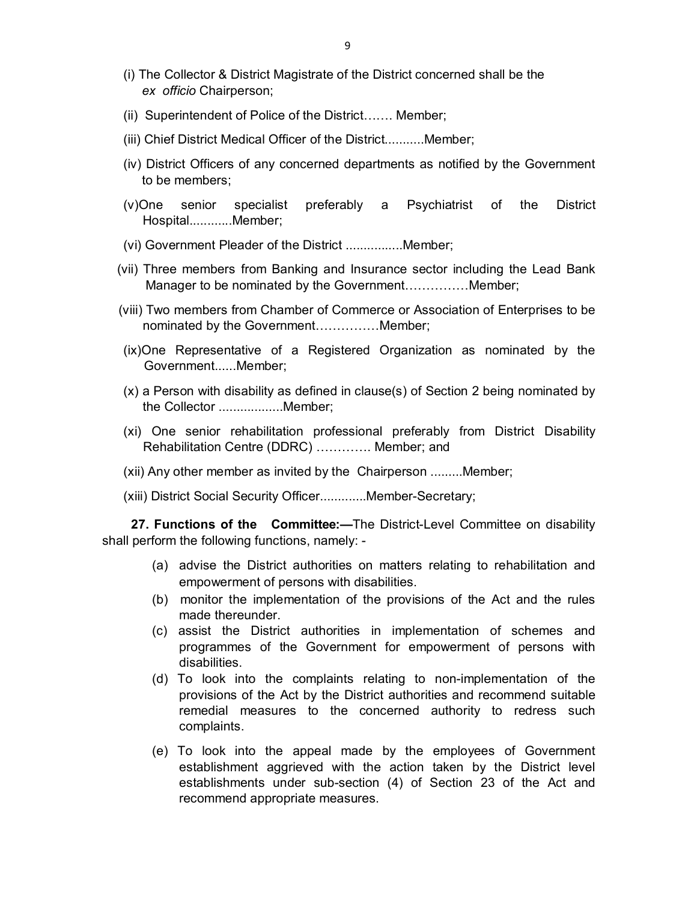- (i) The Collector & District Magistrate of the District concerned shall be the *ex officio* Chairperson;
- (ii) Superintendent of Police of the District……. Member;
- (iii) Chief District Medical Officer of the District...........Member;
- (iv) District Officers of any concerned departments as notified by the Government to be members;
- (v)One senior specialist preferably a Psychiatrist of the District Hospital............Member;
- (vi) Government Pleader of the District ................Member;
- (vii) Three members from Banking and Insurance sector including the Lead Bank Manager to be nominated by the Government……………Member;
- (viii) Two members from Chamber of Commerce or Association of Enterprises to be nominated by the Government……………Member;
- (ix)One Representative of a Registered Organization as nominated by the Government......Member;
- (x) a Person with disability as defined in clause(s) of Section 2 being nominated by the Collector ..................Member;
- (xi) One senior rehabilitation professional preferably from District Disability Rehabilitation Centre (DDRC) …………. Member; and
- (xii) Any other member as invited by the Chairperson .........Member;
- (xiii) District Social Security Officer.............Member-Secretary;

 **27. Functions of the Committee:—**The District-Level Committee on disability shall perform the following functions, namely: -

- (a) advise the District authorities on matters relating to rehabilitation and empowerment of persons with disabilities.
- (b) monitor the implementation of the provisions of the Act and the rules made thereunder.
- (c) assist the District authorities in implementation of schemes and programmes of the Government for empowerment of persons with disabilities.
- (d) To look into the complaints relating to non-implementation of the provisions of the Act by the District authorities and recommend suitable remedial measures to the concerned authority to redress such complaints.
- (e) To look into the appeal made by the employees of Government establishment aggrieved with the action taken by the District level establishments under sub-section (4) of Section 23 of the Act and recommend appropriate measures.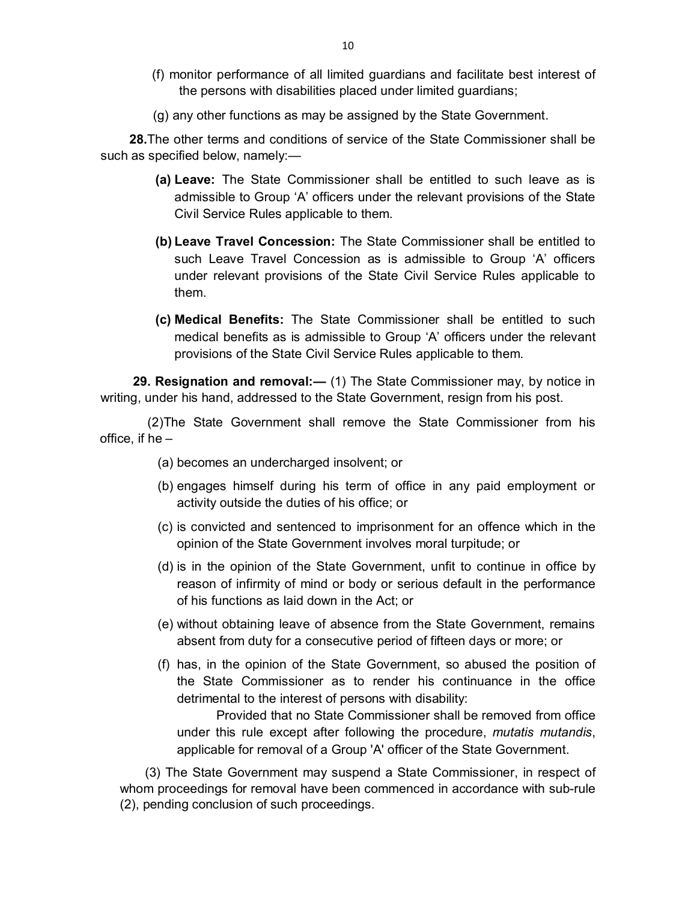- (f) monitor performance of all limited guardians and facilitate best interest of the persons with disabilities placed under limited guardians;
- (g) any other functions as may be assigned by the State Government.

 **28.**The other terms and conditions of service of the State Commissioner shall be such as specified below, namely:—

- **(a) Leave:** The State Commissioner shall be entitled to such leave as is admissible to Group 'A' officers under the relevant provisions of the State Civil Service Rules applicable to them.
- **(b) Leave Travel Concession:** The State Commissioner shall be entitled to such Leave Travel Concession as is admissible to Group 'A' officers under relevant provisions of the State Civil Service Rules applicable to them.
- **(c) Medical Benefits:** The State Commissioner shall be entitled to such medical benefits as is admissible to Group 'A' officers under the relevant provisions of the State Civil Service Rules applicable to them.

 **29. Resignation and removal:—** (1) The State Commissioner may, by notice in writing, under his hand, addressed to the State Government, resign from his post.

 (2)The State Government shall remove the State Commissioner from his office, if he –

- (a) becomes an undercharged insolvent; or
- (b) engages himself during his term of office in any paid employment or activity outside the duties of his office; or
- (c) is convicted and sentenced to imprisonment for an offence which in the opinion of the State Government involves moral turpitude; or
- (d) is in the opinion of the State Government, unfit to continue in office by reason of infirmity of mind or body or serious default in the performance of his functions as laid down in the Act; or
- (e) without obtaining leave of absence from the State Government, remains absent from duty for a consecutive period of fifteen days or more; or
- (f) has, in the opinion of the State Government, so abused the position of the State Commissioner as to render his continuance in the office detrimental to the interest of persons with disability:

 Provided that no State Commissioner shall be removed from office under this rule except after following the procedure, *mutatis mutandis*, applicable for removal of a Group 'A' officer of the State Government.

 (3) The State Government may suspend a State Commissioner, in respect of whom proceedings for removal have been commenced in accordance with sub-rule (2), pending conclusion of such proceedings.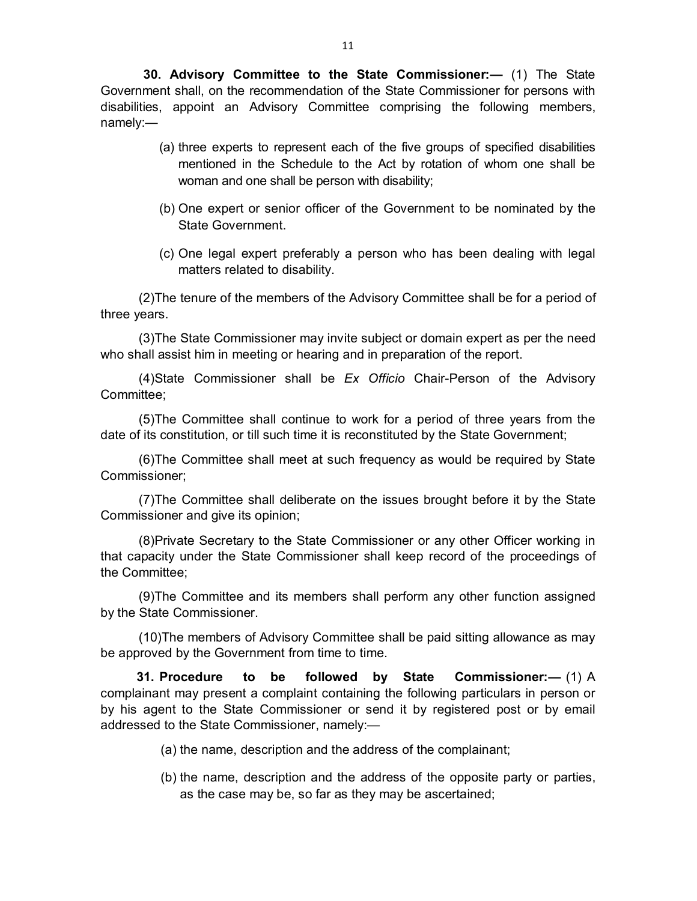**30. Advisory Committee to the State Commissioner:—** (1) The State Government shall, on the recommendation of the State Commissioner for persons with disabilities, appoint an Advisory Committee comprising the following members, namely:—

- (a) three experts to represent each of the five groups of specified disabilities mentioned in the Schedule to the Act by rotation of whom one shall be woman and one shall be person with disability;
- (b) One expert or senior officer of the Government to be nominated by the State Government.
- (c) One legal expert preferably a person who has been dealing with legal matters related to disability.

(2)The tenure of the members of the Advisory Committee shall be for a period of three years.

(3)The State Commissioner may invite subject or domain expert as per the need who shall assist him in meeting or hearing and in preparation of the report.

(4)State Commissioner shall be *Ex Officio* Chair-Person of the Advisory Committee;

(5)The Committee shall continue to work for a period of three years from the date of its constitution, or till such time it is reconstituted by the State Government;

(6)The Committee shall meet at such frequency as would be required by State Commissioner;

(7)The Committee shall deliberate on the issues brought before it by the State Commissioner and give its opinion;

(8)Private Secretary to the State Commissioner or any other Officer working in that capacity under the State Commissioner shall keep record of the proceedings of the Committee;

(9)The Committee and its members shall perform any other function assigned by the State Commissioner.

(10)The members of Advisory Committee shall be paid sitting allowance as may be approved by the Government from time to time.

 **31. Procedure to be followed by State Commissioner:—** (1) A complainant may present a complaint containing the following particulars in person or by his agent to the State Commissioner or send it by registered post or by email addressed to the State Commissioner, namely:—

- (a) the name, description and the address of the complainant;
- (b) the name, description and the address of the opposite party or parties, as the case may be, so far as they may be ascertained;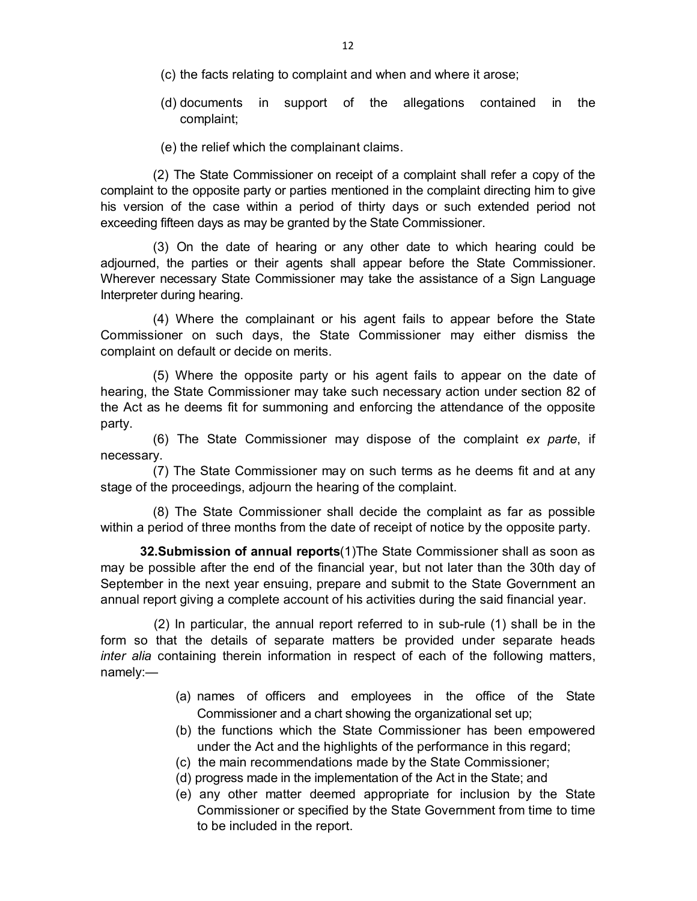(c) the facts relating to complaint and when and where it arose;

(d) documents in support of the allegations contained in the complaint;

(e) the relief which the complainant claims.

(2) The State Commissioner on receipt of a complaint shall refer a copy of the complaint to the opposite party or parties mentioned in the complaint directing him to give his version of the case within a period of thirty days or such extended period not exceeding fifteen days as may be granted by the State Commissioner.

(3) On the date of hearing or any other date to which hearing could be adjourned, the parties or their agents shall appear before the State Commissioner. Wherever necessary State Commissioner may take the assistance of a Sign Language Interpreter during hearing.

(4) Where the complainant or his agent fails to appear before the State Commissioner on such days, the State Commissioner may either dismiss the complaint on default or decide on merits.

(5) Where the opposite party or his agent fails to appear on the date of hearing, the State Commissioner may take such necessary action under section 82 of the Act as he deems fit for summoning and enforcing the attendance of the opposite party.

(6) The State Commissioner may dispose of the complaint *ex parte*, if necessary.

(7) The State Commissioner may on such terms as he deems fit and at any stage of the proceedings, adjourn the hearing of the complaint.

(8) The State Commissioner shall decide the complaint as far as possible within a period of three months from the date of receipt of notice by the opposite party.

 **32.Submission of annual reports**(1)The State Commissioner shall as soon as may be possible after the end of the financial year, but not later than the 30th day of September in the next year ensuing, prepare and submit to the State Government an annual report giving a complete account of his activities during the said financial year.

(2) In particular, the annual report referred to in sub-rule (1) shall be in the form so that the details of separate matters be provided under separate heads *inter alia* containing therein information in respect of each of the following matters, namely:—

- (a) names of officers and employees in the office of the State Commissioner and a chart showing the organizational set up;
- (b) the functions which the State Commissioner has been empowered under the Act and the highlights of the performance in this regard;
- (c) the main recommendations made by the State Commissioner;
- (d) progress made in the implementation of the Act in the State; and
- (e) any other matter deemed appropriate for inclusion by the State Commissioner or specified by the State Government from time to time to be included in the report.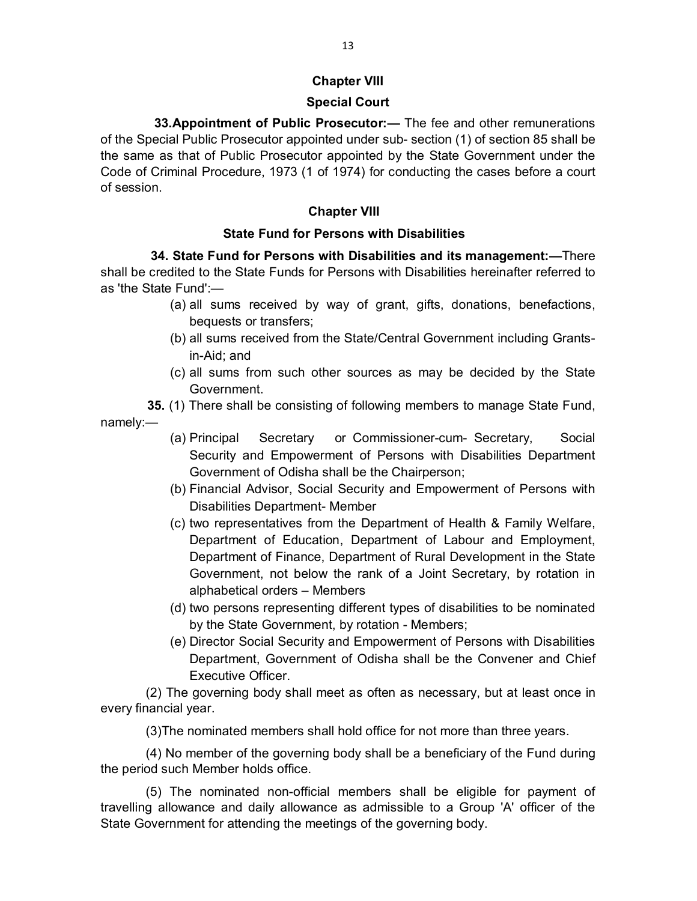# **Chapter VIII**

# **Special Court**

 **33.Appointment of Public Prosecutor:—** The fee and other remunerations of the Special Public Prosecutor appointed under sub- section (1) of section 85 shall be the same as that of Public Prosecutor appointed by the State Government under the Code of Criminal Procedure, 1973 (1 of 1974) for conducting the cases before a court of session.

# **Chapter VIII**

# **State Fund for Persons with Disabilities**

 **34. State Fund for Persons with Disabilities and its management:—**There shall be credited to the State Funds for Persons with Disabilities hereinafter referred to as 'the State Fund':—

- (a) all sums received by way of grant, gifts, donations, benefactions, bequests or transfers;
- (b) all sums received from the State/Central Government including Grantsin-Aid; and
- (c) all sums from such other sources as may be decided by the State Government.

 **35.** (1) There shall be consisting of following members to manage State Fund,

namely:—

- (a) Principal Secretary or Commissioner-cum- Secretary, Social Security and Empowerment of Persons with Disabilities Department Government of Odisha shall be the Chairperson;
- (b) Financial Advisor, Social Security and Empowerment of Persons with Disabilities Department- Member
- (c) two representatives from the Department of Health & Family Welfare, Department of Education, Department of Labour and Employment, Department of Finance, Department of Rural Development in the State Government, not below the rank of a Joint Secretary, by rotation in alphabetical orders – Members
- (d) two persons representing different types of disabilities to be nominated by the State Government, by rotation - Members;
- (e) Director Social Security and Empowerment of Persons with Disabilities Department, Government of Odisha shall be the Convener and Chief Executive Officer.

 (2) The governing body shall meet as often as necessary, but at least once in every financial year.

(3)The nominated members shall hold office for not more than three years.

 (4) No member of the governing body shall be a beneficiary of the Fund during the period such Member holds office.

 (5) The nominated non-official members shall be eligible for payment of travelling allowance and daily allowance as admissible to a Group 'A' officer of the State Government for attending the meetings of the governing body.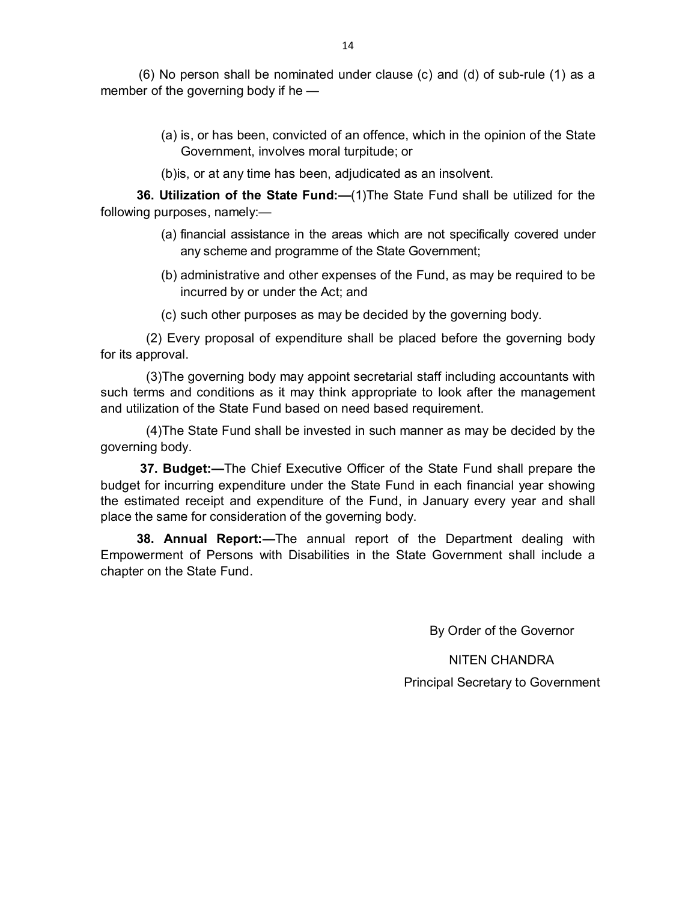(6) No person shall be nominated under clause (c) and (d) of sub-rule (1) as a member of the governing body if he —

> (a) is, or has been, convicted of an offence, which in the opinion of the State Government, involves moral turpitude; or

(b)is, or at any time has been, adjudicated as an insolvent.

 **36. Utilization of the State Fund:—**(1)The State Fund shall be utilized for the following purposes, namely:—

- (a) financial assistance in the areas which are not specifically covered under any scheme and programme of the State Government;
- (b) administrative and other expenses of the Fund, as may be required to be incurred by or under the Act; and
- (c) such other purposes as may be decided by the governing body.

(2) Every proposal of expenditure shall be placed before the governing body for its approval.

(3)The governing body may appoint secretarial staff including accountants with such terms and conditions as it may think appropriate to look after the management and utilization of the State Fund based on need based requirement.

(4)The State Fund shall be invested in such manner as may be decided by the governing body.

 **37. Budget:—**The Chief Executive Officer of the State Fund shall prepare the budget for incurring expenditure under the State Fund in each financial year showing the estimated receipt and expenditure of the Fund, in January every year and shall place the same for consideration of the governing body.

 **38. Annual Report:—**The annual report of the Department dealing with Empowerment of Persons with Disabilities in the State Government shall include a chapter on the State Fund.

By Order of the Governor

NITEN CHANDRA Principal Secretary to Government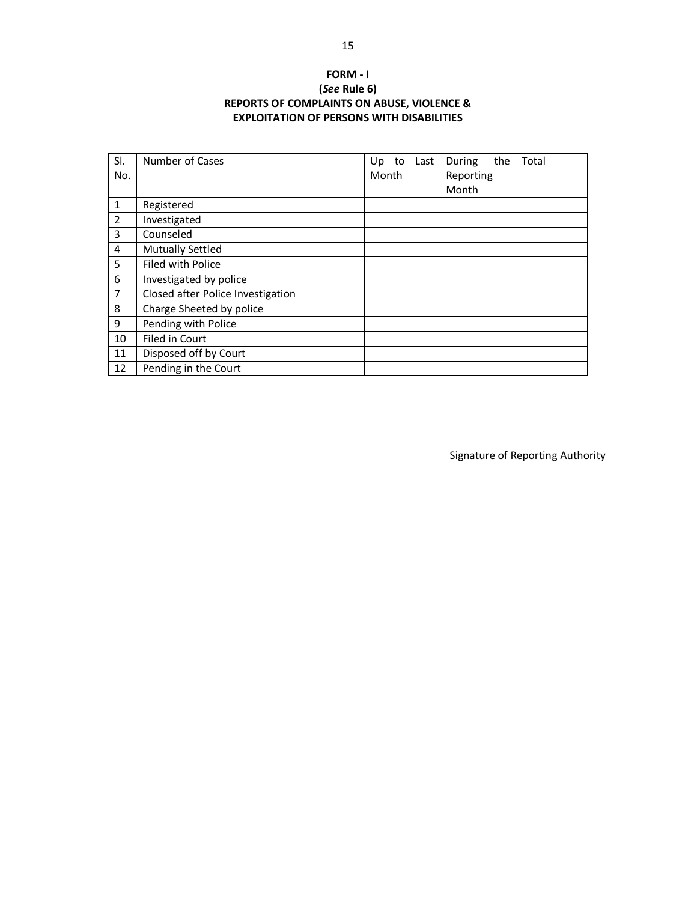## **FORM - I (***See* **Rule 6) REPORTS OF COMPLAINTS ON ABUSE, VIOLENCE & EXPLOITATION OF PERSONS WITH DISABILITIES**

| SI.<br>No.     | Number of Cases                   | Up<br>to<br>Month | Last | the<br>During<br>Reporting<br>Month | Total |
|----------------|-----------------------------------|-------------------|------|-------------------------------------|-------|
| 1              | Registered                        |                   |      |                                     |       |
| $\overline{2}$ | Investigated                      |                   |      |                                     |       |
| 3              | Counseled                         |                   |      |                                     |       |
| 4              | <b>Mutually Settled</b>           |                   |      |                                     |       |
| 5              | Filed with Police                 |                   |      |                                     |       |
| 6              | Investigated by police            |                   |      |                                     |       |
| 7              | Closed after Police Investigation |                   |      |                                     |       |
| 8              | Charge Sheeted by police          |                   |      |                                     |       |
| 9              | Pending with Police               |                   |      |                                     |       |
| 10             | Filed in Court                    |                   |      |                                     |       |
| 11             | Disposed off by Court             |                   |      |                                     |       |
| 12             | Pending in the Court              |                   |      |                                     |       |

Signature of Reporting Authority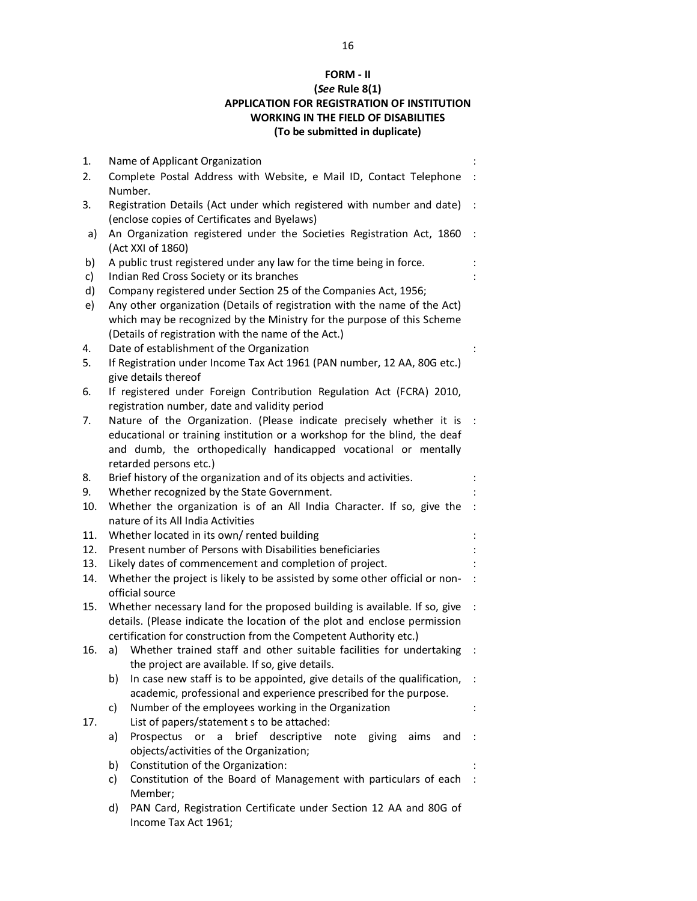## **FORM - II (***See* **Rule 8(1) APPLICATION FOR REGISTRATION OF INSTITUTION WORKING IN THE FIELD OF DISABILITIES (To be submitted in duplicate)**

| 1.  | Name of Applicant Organization                                                                                                                      |  |  |  |  |  |  |  |
|-----|-----------------------------------------------------------------------------------------------------------------------------------------------------|--|--|--|--|--|--|--|
| 2.  | Complete Postal Address with Website, e Mail ID, Contact Telephone<br>Number.                                                                       |  |  |  |  |  |  |  |
| 3.  | Registration Details (Act under which registered with number and date)<br>(enclose copies of Certificates and Byelaws)                              |  |  |  |  |  |  |  |
| a)  | An Organization registered under the Societies Registration Act, 1860<br>(Act XXI of 1860)                                                          |  |  |  |  |  |  |  |
| b)  | A public trust registered under any law for the time being in force.                                                                                |  |  |  |  |  |  |  |
| c)  | Indian Red Cross Society or its branches                                                                                                            |  |  |  |  |  |  |  |
| d)  | Company registered under Section 25 of the Companies Act, 1956;                                                                                     |  |  |  |  |  |  |  |
| e)  | Any other organization (Details of registration with the name of the Act)                                                                           |  |  |  |  |  |  |  |
|     | which may be recognized by the Ministry for the purpose of this Scheme                                                                              |  |  |  |  |  |  |  |
|     | (Details of registration with the name of the Act.)                                                                                                 |  |  |  |  |  |  |  |
| 4.  | Date of establishment of the Organization                                                                                                           |  |  |  |  |  |  |  |
| 5.  | If Registration under Income Tax Act 1961 (PAN number, 12 AA, 80G etc.)                                                                             |  |  |  |  |  |  |  |
|     | give details thereof                                                                                                                                |  |  |  |  |  |  |  |
| 6.  | If registered under Foreign Contribution Regulation Act (FCRA) 2010,                                                                                |  |  |  |  |  |  |  |
|     | registration number, date and validity period                                                                                                       |  |  |  |  |  |  |  |
| 7.  | Nature of the Organization. (Please indicate precisely whether it is                                                                                |  |  |  |  |  |  |  |
|     | educational or training institution or a workshop for the blind, the deaf                                                                           |  |  |  |  |  |  |  |
|     | and dumb, the orthopedically handicapped vocational or mentally<br>retarded persons etc.)                                                           |  |  |  |  |  |  |  |
| 8.  | Brief history of the organization and of its objects and activities.                                                                                |  |  |  |  |  |  |  |
| 9.  | Whether recognized by the State Government.                                                                                                         |  |  |  |  |  |  |  |
| 10. | Whether the organization is of an All India Character. If so, give the                                                                              |  |  |  |  |  |  |  |
|     | nature of its All India Activities                                                                                                                  |  |  |  |  |  |  |  |
| 11. | Whether located in its own/rented building                                                                                                          |  |  |  |  |  |  |  |
| 12. | Present number of Persons with Disabilities beneficiaries                                                                                           |  |  |  |  |  |  |  |
| 13. | Likely dates of commencement and completion of project.                                                                                             |  |  |  |  |  |  |  |
| 14. | Whether the project is likely to be assisted by some other official or non-                                                                         |  |  |  |  |  |  |  |
|     | official source                                                                                                                                     |  |  |  |  |  |  |  |
| 15. | Whether necessary land for the proposed building is available. If so, give                                                                          |  |  |  |  |  |  |  |
|     | details. (Please indicate the location of the plot and enclose permission                                                                           |  |  |  |  |  |  |  |
|     | certification for construction from the Competent Authority etc.)                                                                                   |  |  |  |  |  |  |  |
| 16. | Whether trained staff and other suitable facilities for undertaking<br>a)                                                                           |  |  |  |  |  |  |  |
|     | the project are available. If so, give details.                                                                                                     |  |  |  |  |  |  |  |
|     | In case new staff is to be appointed, give details of the qualification,<br>b)<br>academic, professional and experience prescribed for the purpose. |  |  |  |  |  |  |  |
|     | Number of the employees working in the Organization<br>c)                                                                                           |  |  |  |  |  |  |  |
| 17. | List of papers/statement s to be attached:                                                                                                          |  |  |  |  |  |  |  |
|     | or<br>$\mathsf{a}$<br>brief descriptive<br>Prospectus<br>note<br>giving<br>aims<br>and<br>a)                                                        |  |  |  |  |  |  |  |
|     | objects/activities of the Organization;                                                                                                             |  |  |  |  |  |  |  |
|     | Constitution of the Organization:<br>b)                                                                                                             |  |  |  |  |  |  |  |
|     | Constitution of the Board of Management with particulars of each<br>c)                                                                              |  |  |  |  |  |  |  |
|     | Member;                                                                                                                                             |  |  |  |  |  |  |  |
|     | PAN Card, Registration Certificate under Section 12 AA and 80G of<br>d)                                                                             |  |  |  |  |  |  |  |
|     | Income Tax Act 1961;                                                                                                                                |  |  |  |  |  |  |  |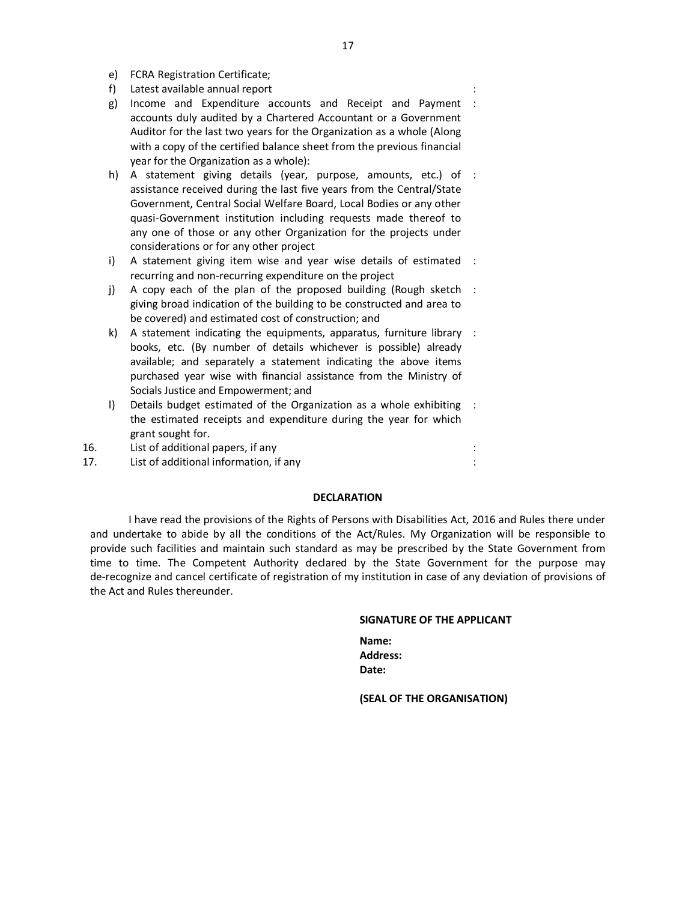- e) FCRA Registration Certificate;
- f) Latest available annual report :
- g) Income and Expenditure accounts and Receipt and Payment : accounts duly audited by a Chartered Accountant or a Government Auditor for the last two years for the Organization as a whole (Along with a copy of the certified balance sheet from the previous financial year for the Organization as a whole):
- h) A statement giving details (year, purpose, amounts, etc.) of : assistance received during the last five years from the Central/State Government, Central Social Welfare Board, Local Bodies or any other quasi-Government institution including requests made thereof to any one of those or any other Organization for the projects under considerations or for any other project
- i) A statement giving item wise and year wise details of estimated : recurring and non-recurring expenditure on the project
- j) A copy each of the plan of the proposed building (Rough sketch : giving broad indication of the building to be constructed and area to be covered) and estimated cost of construction; and
- k) A statement indicating the equipments, apparatus, furniture library : books, etc. (By number of details whichever is possible) already available; and separately a statement indicating the above items purchased year wise with financial assistance from the Ministry of Socials Justice and Empowerment; and
- l) Details budget estimated of the Organization as a whole exhibiting : the estimated receipts and expenditure during the year for which grant sought for.
- 16. List of additional papers, if any :
- 17. List of additional information, if any :

#### **DECLARATION**

I have read the provisions of the Rights of Persons with Disabilities Act, 2016 and Rules there under and undertake to abide by all the conditions of the Act/Rules. My Organization will be responsible to provide such facilities and maintain such standard as may be prescribed by the State Government from time to time. The Competent Authority declared by the State Government for the purpose may de-recognize and cancel certificate of registration of my institution in case of any deviation of provisions of the Act and Rules thereunder.

#### **SIGNATURE OF THE APPLICANT**

| Name:        |  |
|--------------|--|
| Address:     |  |
| <b>Date:</b> |  |

**(SEAL OF THE ORGANISATION)**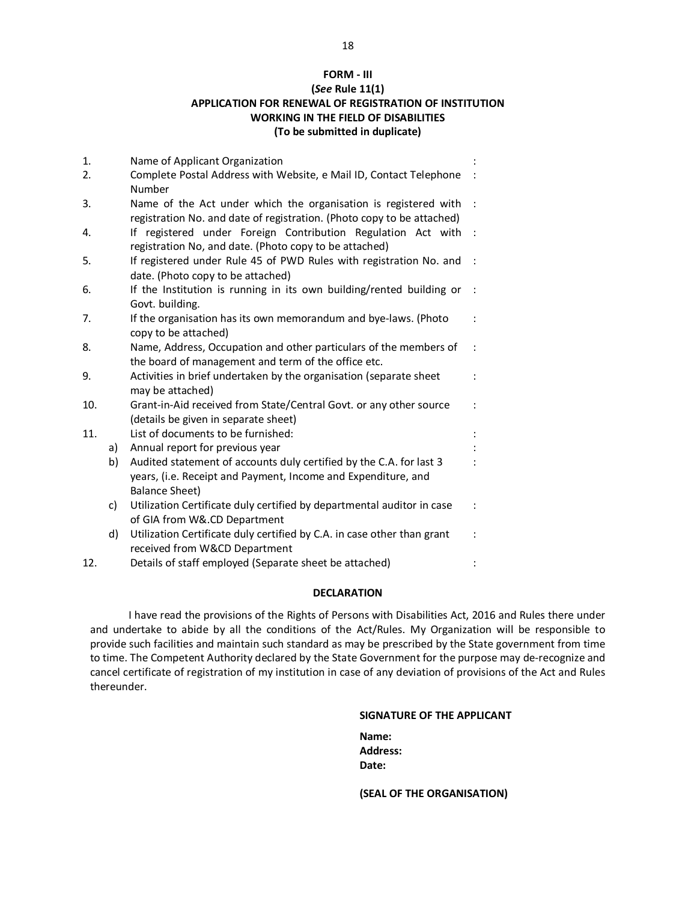## **FORM - III (***See* **Rule 11(1) APPLICATION FOR RENEWAL OF REGISTRATION OF INSTITUTION WORKING IN THE FIELD OF DISABILITIES (To be submitted in duplicate)**

| 1.  |    | Name of Applicant Organization                                          |  |
|-----|----|-------------------------------------------------------------------------|--|
| 2.  |    | Complete Postal Address with Website, e Mail ID, Contact Telephone      |  |
|     |    | Number                                                                  |  |
| 3.  |    | Name of the Act under which the organisation is registered with         |  |
|     |    | registration No. and date of registration. (Photo copy to be attached)  |  |
| 4.  |    | If registered under Foreign Contribution Regulation Act with            |  |
|     |    | registration No, and date. (Photo copy to be attached)                  |  |
| 5.  |    | If registered under Rule 45 of PWD Rules with registration No. and      |  |
|     |    | date. (Photo copy to be attached)                                       |  |
| 6.  |    | If the Institution is running in its own building/rented building or    |  |
|     |    | Govt. building.                                                         |  |
| 7.  |    | If the organisation has its own memorandum and bye-laws. (Photo         |  |
|     |    | copy to be attached)                                                    |  |
| 8.  |    | Name, Address, Occupation and other particulars of the members of       |  |
|     |    | the board of management and term of the office etc.                     |  |
| 9.  |    | Activities in brief undertaken by the organisation (separate sheet      |  |
|     |    | may be attached)                                                        |  |
| 10. |    | Grant-in-Aid received from State/Central Govt. or any other source      |  |
|     |    | (details be given in separate sheet)                                    |  |
| 11. |    | List of documents to be furnished:                                      |  |
|     | a) | Annual report for previous year                                         |  |
|     | b) | Audited statement of accounts duly certified by the C.A. for last 3     |  |
|     |    | years, (i.e. Receipt and Payment, Income and Expenditure, and           |  |
|     |    | <b>Balance Sheet)</b>                                                   |  |
|     | c) | Utilization Certificate duly certified by departmental auditor in case  |  |
|     |    | of GIA from W&.CD Department                                            |  |
|     | d) | Utilization Certificate duly certified by C.A. in case other than grant |  |
|     |    | received from W&CD Department                                           |  |
| 12. |    | Details of staff employed (Separate sheet be attached)                  |  |

#### **DECLARATION**

I have read the provisions of the Rights of Persons with Disabilities Act, 2016 and Rules there under and undertake to abide by all the conditions of the Act/Rules. My Organization will be responsible to provide such facilities and maintain such standard as may be prescribed by the State government from time to time. The Competent Authority declared by the State Government for the purpose may de-recognize and cancel certificate of registration of my institution in case of any deviation of provisions of the Act and Rules thereunder.

#### **SIGNATURE OF THE APPLICANT**

| Name:           |  |
|-----------------|--|
| <b>Address:</b> |  |
| <b>Date:</b>    |  |

**(SEAL OF THE ORGANISATION)**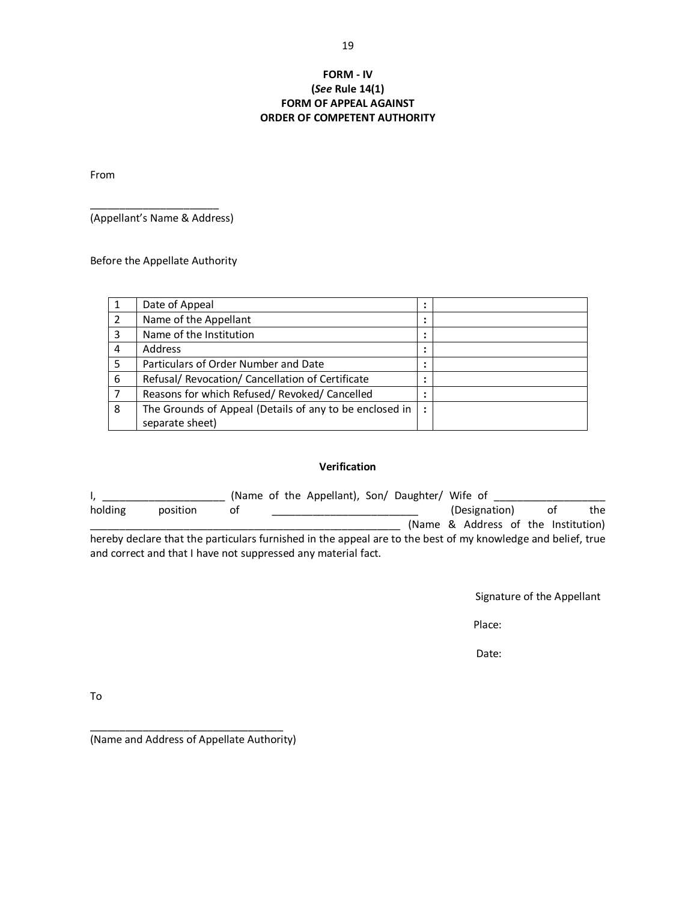### **FORM - IV (***See* **Rule 14(1) FORM OF APPEAL AGAINST ORDER OF COMPETENT AUTHORITY**

From

\_\_\_\_\_\_\_\_\_\_\_\_\_\_\_\_\_\_\_\_\_\_ (Appellant's Name & Address)

Before the Appellate Authority

| 1 | Date of Appeal                                          | $\bullet$            |  |
|---|---------------------------------------------------------|----------------------|--|
| 2 | Name of the Appellant                                   |                      |  |
| 3 | Name of the Institution                                 |                      |  |
| 4 | <b>Address</b>                                          |                      |  |
| 5 | Particulars of Order Number and Date                    |                      |  |
| 6 | Refusal/ Revocation/ Cancellation of Certificate        |                      |  |
| 7 | Reasons for which Refused/ Revoked/ Cancelled           |                      |  |
| 8 | The Grounds of Appeal (Details of any to be enclosed in | $\ddot{\phantom{a}}$ |  |
|   | separate sheet)                                         |                      |  |

#### **Verification**

|         |                                                                                                              |    | (Name of the Appellant), Son/ Daughter/ Wife of |  |                                     |  |    |     |
|---------|--------------------------------------------------------------------------------------------------------------|----|-------------------------------------------------|--|-------------------------------------|--|----|-----|
| holding | position                                                                                                     | οt |                                                 |  | (Designation)                       |  | 0t | the |
|         |                                                                                                              |    |                                                 |  | (Name & Address of the Institution) |  |    |     |
|         | hereby declare that the particulars furnished in the appeal are to the best of my knowledge and belief, true |    |                                                 |  |                                     |  |    |     |
|         | and correct and that I have not suppressed any material fact.                                                |    |                                                 |  |                                     |  |    |     |

Signature of the Appellant

Place:

Date:

To

\_\_\_\_\_\_\_\_\_\_\_\_\_\_\_\_\_\_\_\_\_\_\_\_\_\_\_\_\_\_\_\_\_ (Name and Address of Appellate Authority)